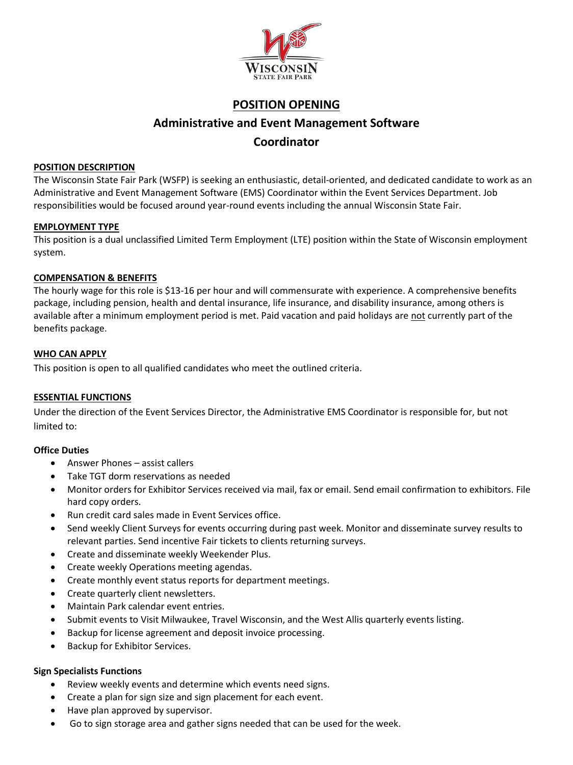

## **POSITION OPENING**

# **Administrative and Event Management Software**

## **Coordinator**

#### **POSITION DESCRIPTION**

The Wisconsin State Fair Park (WSFP) is seeking an enthusiastic, detail-oriented, and dedicated candidate to work as an Administrative and Event Management Software (EMS) Coordinator within the Event Services Department. Job responsibilities would be focused around year-round events including the annual Wisconsin State Fair.

#### **EMPLOYMENT TYPE**

This position is a dual unclassified Limited Term Employment (LTE) position within the State of Wisconsin employment system.

#### **COMPENSATION & BENEFITS**

The hourly wage for this role is \$13-16 per hour and will commensurate with experience. A comprehensive benefits package, including pension, health and dental insurance, life insurance, and disability insurance, among others is available after a minimum employment period is met. Paid vacation and paid holidays are not currently part of the benefits package.

#### **WHO CAN APPLY**

This position is open to all qualified candidates who meet the outlined criteria.

#### **ESSENTIAL FUNCTIONS**

Under the direction of the Event Services Director, the Administrative EMS Coordinator is responsible for, but not limited to:

#### **Office Duties**

- Answer Phones assist callers
- Take TGT dorm reservations as needed
- Monitor orders for Exhibitor Services received via mail, fax or email. Send email confirmation to exhibitors. File hard copy orders.
- Run credit card sales made in Event Services office.
- Send weekly Client Surveys for events occurring during past week. Monitor and disseminate survey results to relevant parties. Send incentive Fair tickets to clients returning surveys.
- Create and disseminate weekly Weekender Plus.
- Create weekly Operations meeting agendas.
- Create monthly event status reports for department meetings.
- Create quarterly client newsletters.
- Maintain Park calendar event entries.
- Submit events to Visit Milwaukee, Travel Wisconsin, and the West Allis quarterly events listing.
- Backup for license agreement and deposit invoice processing.
- Backup for Exhibitor Services.

#### **Sign Specialists Functions**

- Review weekly events and determine which events need signs.
- Create a plan for sign size and sign placement for each event.
- Have plan approved by supervisor.
- Go to sign storage area and gather signs needed that can be used for the week.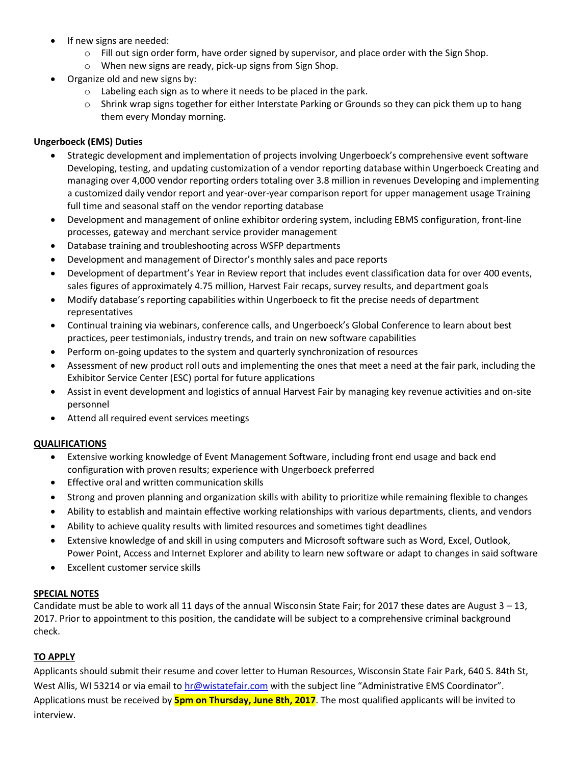- If new signs are needed:
	- $\circ$  Fill out sign order form, have order signed by supervisor, and place order with the Sign Shop.
	- o When new signs are ready, pick-up signs from Sign Shop.
- Organize old and new signs by:
	- o Labeling each sign as to where it needs to be placed in the park.
	- $\circ$  Shrink wrap signs together for either Interstate Parking or Grounds so they can pick them up to hang them every Monday morning.

### **Ungerboeck (EMS) Duties**

- Strategic development and implementation of projects involving Ungerboeck's comprehensive event software Developing, testing, and updating customization of a vendor reporting database within Ungerboeck Creating and managing over 4,000 vendor reporting orders totaling over 3.8 million in revenues Developing and implementing a customized daily vendor report and year-over-year comparison report for upper management usage Training full time and seasonal staff on the vendor reporting database
- Development and management of online exhibitor ordering system, including EBMS configuration, front-line processes, gateway and merchant service provider management
- Database training and troubleshooting across WSFP departments
- Development and management of Director's monthly sales and pace reports
- Development of department's Year in Review report that includes event classification data for over 400 events, sales figures of approximately 4.75 million, Harvest Fair recaps, survey results, and department goals
- Modify database's reporting capabilities within Ungerboeck to fit the precise needs of department representatives
- Continual training via webinars, conference calls, and Ungerboeck's Global Conference to learn about best practices, peer testimonials, industry trends, and train on new software capabilities
- Perform on-going updates to the system and quarterly synchronization of resources
- Assessment of new product roll outs and implementing the ones that meet a need at the fair park, including the Exhibitor Service Center (ESC) portal for future applications
- Assist in event development and logistics of annual Harvest Fair by managing key revenue activities and on-site personnel
- Attend all required event services meetings

#### **QUALIFICATIONS**

- Extensive working knowledge of Event Management Software, including front end usage and back end configuration with proven results; experience with Ungerboeck preferred
- Effective oral and written communication skills
- Strong and proven planning and organization skills with ability to prioritize while remaining flexible to changes
- Ability to establish and maintain effective working relationships with various departments, clients, and vendors
- Ability to achieve quality results with limited resources and sometimes tight deadlines
- Extensive knowledge of and skill in using computers and Microsoft software such as Word, Excel, Outlook, Power Point, Access and Internet Explorer and ability to learn new software or adapt to changes in said software
- Excellent customer service skills

#### **SPECIAL NOTES**

Candidate must be able to work all 11 days of the annual Wisconsin State Fair; for 2017 these dates are August  $3 - 13$ , 2017. Prior to appointment to this position, the candidate will be subject to a comprehensive criminal background check.

#### **TO APPLY**

Applicants should submit their resume and cover letter to Human Resources, Wisconsin State Fair Park, 640 S. 84th St, West Allis, WI 53214 or via email to [hr@wistatefair.com](mailto:hr@wistatefair.com) with the subject line "Administrative EMS Coordinator". Applications must be received by **5pm on Thursday, June 8th, 2017**. The most qualified applicants will be invited to interview.